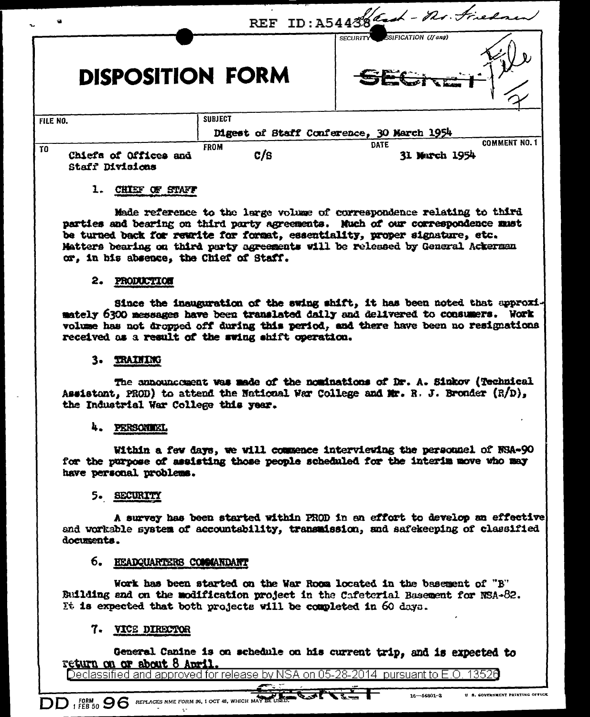|                                                          | REF ID: A54438 and - no. Firedner               |                    |                                                      |
|----------------------------------------------------------|-------------------------------------------------|--------------------|------------------------------------------------------|
| SECURITY SSIFICATION (If any)<br><b>DISPOSITION FORM</b> |                                                 |                    |                                                      |
| FILE NO.                                                 |                                                 | <b>SUBJECT</b>     |                                                      |
| Digest of Staff Conference, 30 March 1954                |                                                 |                    |                                                      |
| T0                                                       | Chiefs of Offices and<br><b>Staff Divisions</b> | <b>FROM</b><br>c/s | <b>COMMENT NO. 1</b><br><b>DATE</b><br>31 March 1954 |

## 1. CHIEF OF STAFF

Made reference to the large volume of correspondence relating to third parties and bearing on third party agreements. Nuch of our correspondence must be turned back for rewrite for format, essentiality, proper signature, etc. Matters bearing on third party agreements will be released by General Ackerman or, in his absence, the Chief of Staff.

#### 2. PRODUCTION

Since the inauguration of the swing shift, it has been noted that approximately 6300 messages have been translated daily and delivered to consumers. Work volume has not dropped off during this period, and there have been no resignations received as a result of the swing shift operation.

### 3. TRAINING

The announcoment was made of the nominations of Dr. A. Sinkov (Technical Assistant, PROD) to attend the National War College and Mr. R. J. Bronder  $(R/D)$ , the Industrial War College this year.

#### 4. PERSONIKI.

Within a few days, we will commence interviewing the personnel of NSA-90 for the purpose of assisting those people scheduled for the interim move who may have personal problems.

## 5. SECURITY

A survey has been started within PROD in an effort to develop an effective and worksble system of accountability, transmission, and safekeeping of classified documents.

## 6. EEADQUARTERS COMMANDANT

Work has been started on the War Room located in the basement of "B" Building and on the modification project in the Cafeterial Basement for NSA-82. It is expected that both projects will be completed in 60 days.

# 7. VICE DIRECTOR

General Canine is on schedule on his current trip, and is expected to return on or about 8 April.

Declassified and approved for release by NSA on 05-28-2014 pursuant to E.O. 13526